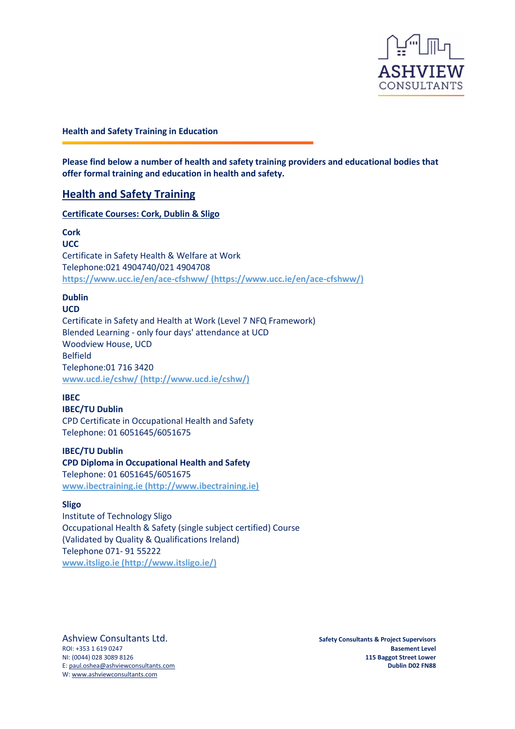

### **Health and Safety Training in Education**

**Please find below a number of health and safety training providers and educational bodies that offer formal training and education in health and safety.**

### **Health and Safety Training**

**Certificate Courses: Cork, Dublin & Sligo**

**Cork**

**UCC**

Certificate in Safety Health & Welfare at Work Telephone:021 4904740/021 4904708 **https://www.ucc.ie/en/ace-cfshww/ (https://www.ucc.ie/en/ace-cfshww/)**

### **Dublin**

**UCD** Certificate in Safety and Health at Work (Level 7 NFQ Framework) Blended Learning - only four days' attendance at UCD Woodview House, UCD Belfield Telephone:01 716 3420 **www.ucd.ie/cshw/ (http://www.ucd.ie/cshw/)**

### **IBEC**

**IBEC/TU Dublin** CPD Certificate in Occupational Health and Safety Telephone: 01 6051645/6051675

**IBEC/TU Dublin CPD Diploma in Occupational Health and Safety** Telephone: 01 6051645/6051675 **www.ibectraining.ie (http://www.ibectraining.ie)**

#### **Sligo**

Institute of Technology Sligo Occupational Health & Safety (single subject certified) Course (Validated by Quality & Qualifications Ireland) Telephone 071- 91 55222 **www.itsligo.ie [\(http://www.itsligo.ie/\)](http://www.itsligo.ie/)**

Ashview Consultants Ltd. **Safety Consultants & Project Supervisors** Safety Consultants & Project Supervisors W[: www.ashviewconsultants.com](http://www.ashviewconsultants.com/)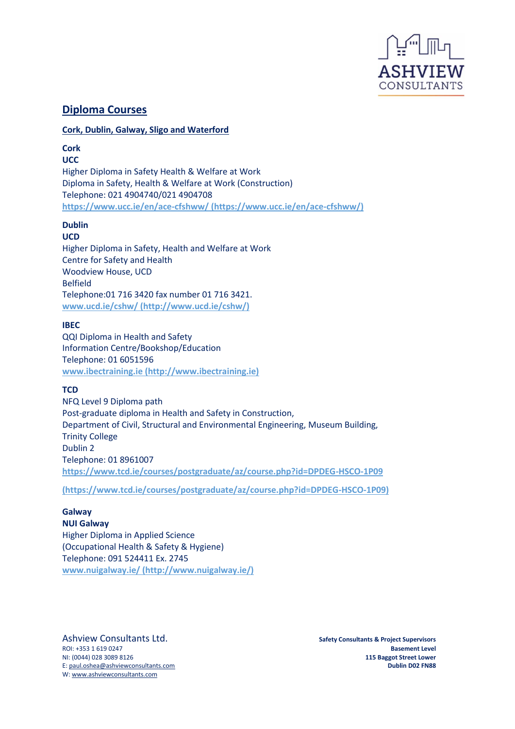

# **Diploma Courses**

### **Cork, Dublin, Galway, Sligo and Waterford**

**Cork UCC**

Higher Diploma in Safety Health & Welfare at Work Diploma in Safety, Health & Welfare at Work (Construction) Telephone: 021 4904740/021 4904708 **https://www.ucc.ie/en/ace-cfshww/ (https://www.ucc.ie/en/ace-cfshww/)**

# **Dublin**

### **UCD**

Higher Diploma in Safety, Health and Welfare at Work Centre for Safety and Health Woodview House, UCD Belfield Telephone:01 716 3420 fax number 01 716 3421. **www.ucd.ie/cshw/ (http://www.ucd.ie/cshw/)**

### **IBEC**

QQI Diploma in Health and Safety Information Centre/Bookshop/Education Telephone: 01 6051596 **www.ibectraining.ie (http://www.ibectraining.ie)**

### **TCD**

NFQ Level 9 Diploma path Post-graduate diploma in Health and Safety in Construction, Department of Civil, Structural and Environmental Engineering, Museum Building, Trinity College Dublin 2 Telephone: 01 8961007 **https://www.tcd.ie/courses/postgraduate/az/course.php?id=DPDEG-HSCO-1P09**

**(https://www.tcd.ie/courses/postgraduate/az/course.php?id=DPDEG-HSCO-1P09)**

## **Galway**

**NUI Galway** Higher Diploma in Applied Science (Occupational Health & Safety & Hygiene) Telephone: 091 524411 Ex. 2745 **www.nuigalway.ie/ (http://www.nuigalway.ie/)**

Ashview Consultants Ltd. **Safety Consultants & Project Supervisors** W[: www.ashviewconsultants.com](http://www.ashviewconsultants.com/)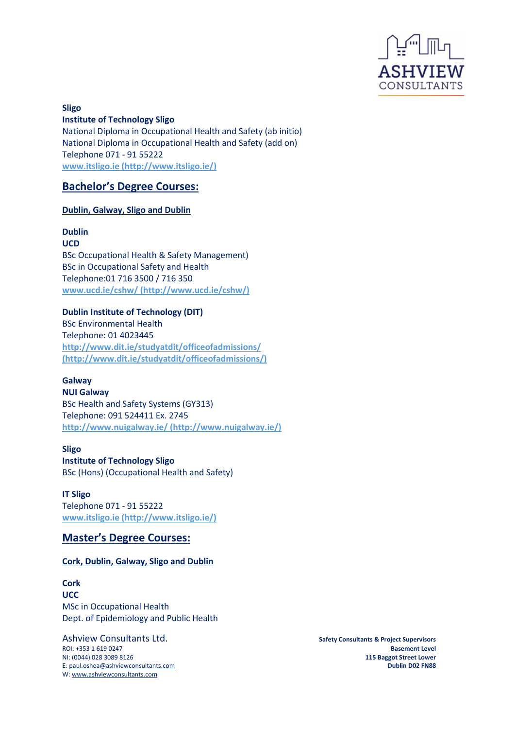

**Sligo Institute of Technology Sligo** National Diploma in Occupational Health and Safety (ab initio) National Diploma in Occupational Health and Safety (add on) Telephone 071 - 91 55222 **www.itsligo.ie (http://www.itsligo.ie/)**

## **Bachelor's Degree Courses:**

### **Dublin, Galway, Sligo and Dublin**

#### **Dublin UCD**

BSc Occupational Health & Safety Management) BSc in Occupational Safety and Health Telephone:01 716 3500 / 716 350 **www.ucd.ie/cshw/ (http://www.ucd.ie/cshw/)**

### **Dublin Institute of Technology (DIT)**

BSc Environmental Health Telephone: 01 4023445 **http://www.dit.ie/studyatdit/officeofadmissions/ (http://www.dit.ie/studyatdit/officeofadmissions/)**

### **Galway**

**NUI Galway** BSc Health and Safety Systems (GY313) Telephone: 091 524411 Ex. 2745 **http://www.nuigalway.ie/ (http://www.nuigalway.ie/)**

# **Sligo**

**Institute of Technology Sligo**

BSc (Hons) (Occupational Health and Safety)

### **IT Sligo** Telephone 071 - 91 55222 **www.itsligo.ie (http://www.itsligo.ie/)**

# **Master's Degree Courses:**

### **Cork, Dublin, Galway, Sligo and Dublin**

**Cork UCC** MSc in Occupational Health Dept. of Epidemiology and Public Health

Ashview Consultants Ltd. **Safety Consultants & Project Supervisors** Safety Consultants & Project Supervisors W[: www.ashviewconsultants.com](http://www.ashviewconsultants.com/)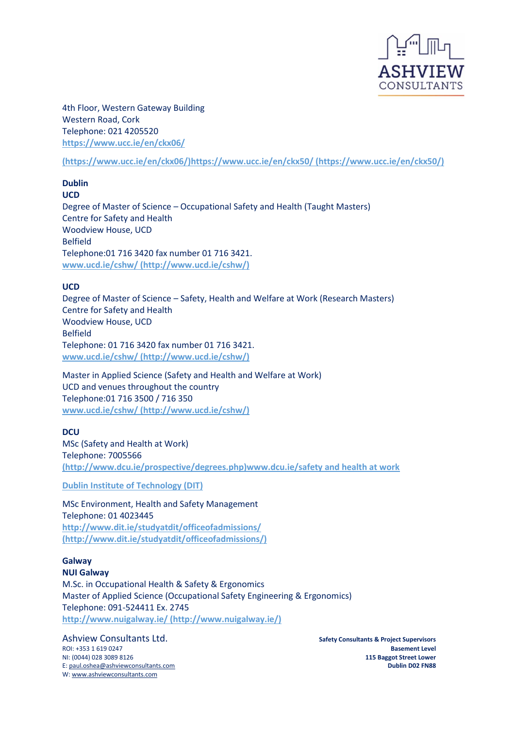

4th Floor, Western Gateway Building Western Road, Cork Telephone: 021 4205520 **<https://www.ucc.ie/en/ckx06/>**

**(https://www.ucc.ie/en/ckx06/)https://www.ucc.ie/en/ckx50/ (https://www.ucc.ie/en/ckx50/)**

**Dublin UCD** Degree of Master of Science – Occupational Safety and Health (Taught Masters) Centre for Safety and Health Woodview House, UCD Belfield Telephone:01 716 3420 fax number 01 716 3421. **www.ucd.ie/cshw/ (http://www.ucd.ie/cshw/)**

### **UCD**

Degree of Master of Science – Safety, Health and Welfare at Work (Research Masters) Centre for Safety and Health Woodview House, UCD Belfield Telephone: 01 716 3420 fax number 01 716 3421. **www.ucd.ie/cshw/ (http://www.ucd.ie/cshw/)**

Master in Applied Science (Safety and Health and Welfare at Work) UCD and venues throughout the country Telephone:01 716 3500 / 716 350 **www.ucd.ie/cshw/ (http://www.ucd.ie/cshw/)**

### **DCU**

MSc (Safety and Health at Work) Telephone: 7005566 **(http://www.dcu.ie/prospective/degrees.php)www.dcu.ie/safety and health at work**

**Dublin Institute of Technology (DIT)**

MSc Environment, Health and Safety Management Telephone: 01 4023445 **http://www.dit.ie/studyatdit/officeofadmissions/ (http://www.dit.ie/studyatdit/officeofadmissions/)**

**Galway NUI Galway** M.Sc. in Occupational Health & Safety & Ergonomics Master of Applied Science (Occupational Safety Engineering & Ergonomics) Telephone: 091-524411 Ex. 2745 **http://www.nuigalway.ie/ (http://www.nuigalway.ie/)**

Ashview Consultants Ltd. **Safety Consultants & Project Supervisors** W[: www.ashviewconsultants.com](http://www.ashviewconsultants.com/)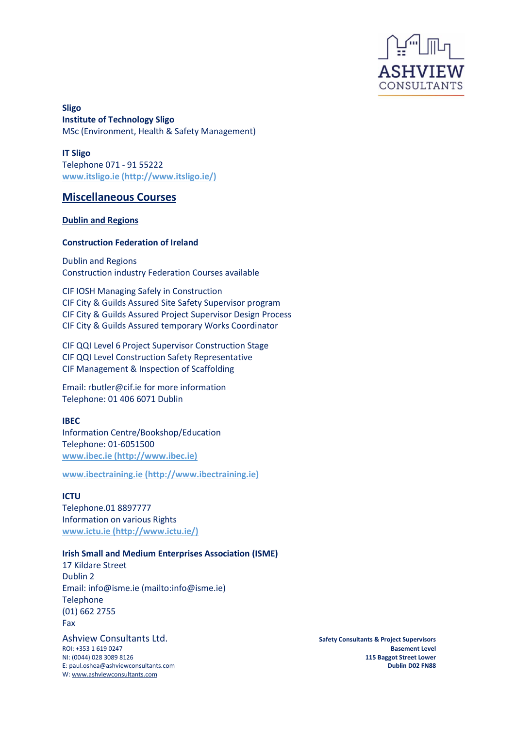

**Sligo Institute of Technology Sligo** MSc (Environment, Health & Safety Management)

**IT Sligo** Telephone 071 - 91 55222 **www.itsligo.ie (http://www.itsligo.ie/)**

## **Miscellaneous Courses**

### **Dublin and Regions**

### **Construction Federation of Ireland**

Dublin and Regions Construction industry Federation Courses available

CIF IOSH Managing Safely in Construction CIF City & Guilds Assured Site Safety Supervisor program CIF City & Guilds Assured Project Supervisor Design Process CIF City & Guilds Assured temporary Works Coordinator

CIF QQI Level 6 Project Supervisor Construction Stage CIF QQI Level Construction Safety Representative CIF Management & Inspection of Scaffolding

Email: rbutler@cif.ie for more information Telephone: 01 406 6071 Dublin

### **IBEC**

Information Centre/Bookshop/Education Telephone: 01-6051500 **www.ibec.ie (http://www.ibec.ie)**

**www.ibectraining.ie (http://www.ibectraining.ie)**

### **ICTU**

Telephone.01 8897777 Information on various Rights **www.ictu.ie (http://www.ictu.ie/)**

### **Irish Small and Medium Enterprises Association (ISME)**

17 Kildare Street Dublin 2 Email: info@isme.ie (mailto:info@isme.ie) Telephone (01) 662 2755 Fax

Ashview Consultants Ltd. **Safety Consultants & Project Supervisors** W[: www.ashviewconsultants.com](http://www.ashviewconsultants.com/)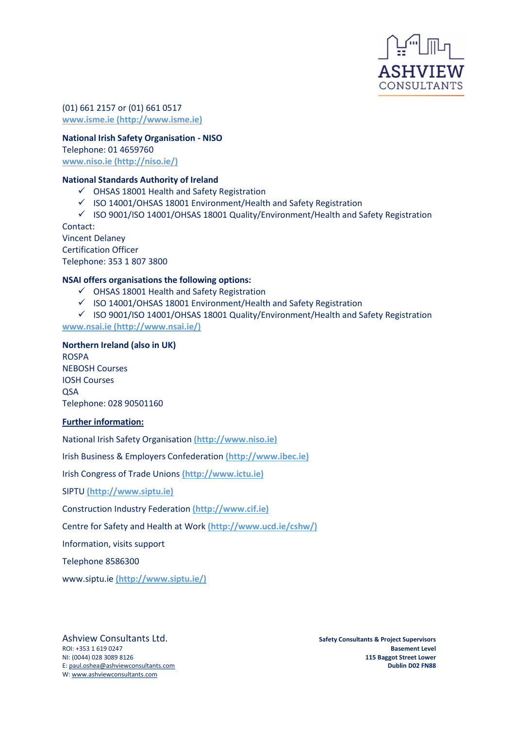

(01) 661 2157 or (01) 661 0517 **www.isme.ie (http://www.isme.ie)**

### **National Irish Safety Organisation - NISO**

Telephone: 01 4659760 **www.niso.ie (http://niso.ie/)**

### **National Standards Authority of Ireland**

- ✓ OHSAS 18001 Health and Safety Registration
- ✓ ISO 14001/OHSAS 18001 Environment/Health and Safety Registration
- ✓ ISO 9001/ISO 14001/OHSAS 18001 Quality/Environment/Health and Safety Registration

Contact: Vincent Delaney Certification Officer Telephone: 353 1 807 3800

### **NSAI offers organisations the following options:**

- ✓ OHSAS 18001 Health and Safety Registration
- $\checkmark$  ISO 14001/OHSAS 18001 Environment/Health and Safety Registration
- ✓ ISO 9001/ISO 14001/OHSAS 18001 Quality/Environment/Health and Safety Registration **www.nsai.ie (http://www.nsai.ie/)**

#### **Northern Ireland (also in UK)**

ROSPA NEBOSH Courses IOSH Courses **OSA** Telephone: 028 90501160

### **Further information:**

National Irish Safety Organisation **(http://www.niso.ie)**

Irish Business & Employers Confederation **(http://www.ibec.ie)**

Irish Congress of Trade Unions **(http://www.ictu.ie)**

SIPTU **(http://www.siptu.ie)**

Construction Industry Federation **(http://www.cif.ie)**

Centre for Safety and Health at Work **[\(http://www.ucd.ie/cshw/\)](http://www.ucd.ie/cshw/)**

Information, visits support

Telephone 8586300

www.siptu.ie **(http://www.siptu.ie/)**

Ashview Consultants Ltd. **Safety Consultants & Project Supervisors** Safety Consultants & Project Supervisors W[: www.ashviewconsultants.com](http://www.ashviewconsultants.com/)